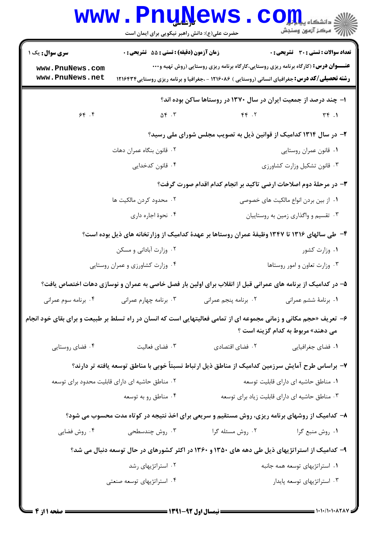|                                                              | www.PnuNews.<br>حضرت علی(ع): دانش راهبر نیکویی برای ایمان است |                                                                                                                                                                                                     | الله دانشکاه پیام برای C<br>الله عرکز آزمون وسنجش |
|--------------------------------------------------------------|---------------------------------------------------------------|-----------------------------------------------------------------------------------------------------------------------------------------------------------------------------------------------------|---------------------------------------------------|
| <b>سری سوال :</b> یک ۱<br>www.PnuNews.com<br>www.PnuNews.net | <b>زمان آزمون (دقیقه) : تستی : 55 تشریحی : 0</b>              | <b>عنـــوان درس:</b> (کارگاه برنامه ریزی روستایی،کارگاه برنامه ریزی روستایی (روش تهیه و۰۰۰<br><b>رشته تحصیلی/کد درس:</b> جغرافیای انسانی (روستایی ) ۱۲۱۶۰۸۶ - ،جغرافیا و برنامه ریزی روستایی۱۲۱۶۴۳۴ | <b>تعداد سوالات : تستی : 30 ٪ تشریحی : 0</b>      |
| 94.99                                                        | $\Delta \mathfrak{f}$ . $\mathfrak{r}$                        | ا- چند درصد از جمعیت ایران در سال ۱۳۷۰ در روستاها ساکن بوده اند؟<br>FP.7                                                                                                                            | $\tau \tau$ .                                     |
|                                                              |                                                               |                                                                                                                                                                                                     |                                                   |
|                                                              |                                                               | ۲- در سال ۱۳۱۴ کدامیک از قوانین ذیل به تصویب مجلس شورای ملی رسید؟                                                                                                                                   |                                                   |
|                                                              | ۰۲ قانون بنگاه عمران دهات                                     | ۰۱ قانون عمران روستايي                                                                                                                                                                              |                                                   |
|                                                              | ۰۴ قانون کدخدایی                                              |                                                                                                                                                                                                     | ٠٣ قانون تشكيل وزارت كشاورزى                      |
|                                                              |                                                               | ۳- در مرحلهٔ دوم اصلاحات ارضی تاکید بر انجام کدام اقدام صورت گرفت؟                                                                                                                                  |                                                   |
|                                                              | ۰۲ محدود کردن مالکیت ها                                       |                                                                                                                                                                                                     | ۰۱ از بین بردن انواع مالکیت های خصوصی             |
|                                                              | ۰۴ نحوهٔ اجاره داری                                           |                                                                                                                                                                                                     | ۰۳ تقسیم و واگذاری زمین به روستاییان              |
|                                                              |                                                               | ۴- طی سالهای ۱۳۱۶ تا ۱۳۴۷ وظیفهٔ عمران روستاها بر عهدهٔ کدامیک از وزارتخانه های ذیل بوده است؟                                                                                                       |                                                   |
|                                                              | ۰۲ وزارت آبادانی و مسکن                                       |                                                                                                                                                                                                     | ۰۱ وزارت کشور                                     |
|                                                              | ۰۴ وزارت کشاورزی و عمران روستایی                              |                                                                                                                                                                                                     | ۰۳ وزارت تعاون و امور روستاها                     |
|                                                              |                                                               | ۵– در کدامیک از برنامه های عمرانی قبل از انقلاب برای اولین بار فصل خاصی به عمران و نوسازی دهات اختصاص یافت؟                                                                                         |                                                   |
| ۰۴ برنامه سوم عمرانی                                         | ۰۳ برنامه چهارم عمرانی                                        | ٢. برنامه پنجم عمراني                                                                                                                                                                               | ٠١. برنامة ششم عمراني                             |
|                                                              |                                                               | ۶- تعریف «حجم مکانی و زمانی مجموعه ای از تمامی فعالیتهایی است که انسان در راه تسلط بر طبیعت و برای بقای خود انجام                                                                                   | می دهند» مربوط به کدام گزینه است ؟                |
| ۰۴ فضای روستایی                                              | ۰۳ فضای فعالیت                                                | ۰۲ فضای اقتصادی                                                                                                                                                                                     | ۰۱ فضای جغرافیایی                                 |
|                                                              |                                                               | ۷– براساس طرح آمایش سرزمین کدامیک از مناطق ذیل ارتباط نسبتاً خوبی با مناطق توسعه یافته تر دارند؟                                                                                                    |                                                   |
|                                                              | ۰۲ مناطق حاشیه ای دارای قابلیت محدود برای توسعه               |                                                                                                                                                                                                     | ٠١ مناطق حاشيه اي داراي قابليت توسعه              |
|                                                              | ۰۴ مناطق رو به توسعه                                          |                                                                                                                                                                                                     | ۰۳ مناطق حاشیه ای دارای قابلیت زیاد برای توسعه    |
|                                                              |                                                               | ۸– کدامیک از روشهای برنامه ریزی، روش مستقیم و سریعی برای اخذ نتیجه در کوتاه مدت محسوب می شود؟                                                                                                       |                                                   |
| ۰۴ روش فضایی                                                 | ۰۳ روش چندسطحی                                                | ۰۲ روش مسئله گرا                                                                                                                                                                                    | ۰۱ روش منبع گرا                                   |
|                                                              |                                                               | ۹- کدامیک از استراتژیهای ذیل طی دهه های ۱۳۵۰ و ۱۳۶۰ در اکثر کشورهای در حال توسعه دنبال می شد؟                                                                                                       |                                                   |
|                                                              | ۰۲ استراتژیهای رشد                                            |                                                                                                                                                                                                     | ۰۱ استراتژیهای توسعه همه جانبه                    |
|                                                              | ۰۴ استراتژیهای توسعه صنعتی                                    |                                                                                                                                                                                                     | ۰۳ استراتژیهای توسعه پایدار                       |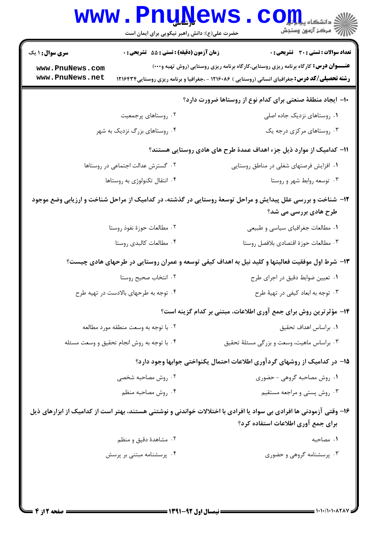|                                            | <b>www.PnuNews</b><br>حضرت علی(ع): دانش راهبر نیکویی برای ایمان است | الاد دانشگاه پیارلو<br>الا دانشگاه پیامون                                                                                                                                                            |  |
|--------------------------------------------|---------------------------------------------------------------------|------------------------------------------------------------------------------------------------------------------------------------------------------------------------------------------------------|--|
| <b>سری سوال : ۱ یک</b>                     | زمان آزمون (دقیقه) : تستی : 55 آتشریحی : 0                          | <b>تعداد سوالات : تستي : 30 ٪ تشريحي : 0</b>                                                                                                                                                         |  |
| www.PnuNews.com<br>www.PnuNews.net         |                                                                     | <b>عنــــوان درس:</b> کارگاه برنامه ریزی روستایی،کارگاه برنامه ریزی روستایی (روش تهیه و۰۰۰)<br><b>رشته تحصیلی/کد درس:</b> جغرافیای انسانی (روستایی ) ۱۲۱۶۰۸۶ - ،جغرافیا و برنامه ریزی روستایی1۲۱۶۴۳۴ |  |
|                                            |                                                                     | ۱۰– ایجاد منطقهٔ صنعتی برای کدام نوع از روستاها ضرورت دارد؟                                                                                                                                          |  |
|                                            | ۰۲ روستاهای پرجمعیت                                                 | ۰۱ روستاهای نزدیک جاده اصلی                                                                                                                                                                          |  |
|                                            | ۰۴ روستاهای بزرگ نزدیک به شهر                                       | ۰۳ روستاهای مرکزی درجه یک                                                                                                                                                                            |  |
|                                            |                                                                     | 11– کدامیک از موارد ذیل جزء اهداف عمدهٔ طرح های هادی روستایی هستند؟                                                                                                                                  |  |
|                                            | ۰۲ گسترش عدالت اجتماعی در روستاها                                   | ٠١ افزايش فرصتهاى شغلى در مناطق روستايي                                                                                                                                                              |  |
|                                            | ۰۴ انتقال تکنولوژی به روستاها                                       | ۰۳ توسعه روابط شهر و روستا                                                                                                                                                                           |  |
|                                            |                                                                     | ۱۲– شناخت و بررسی علل پیدایش و مراحل توسعهٔ روستایی در گذشته، در کدامیک از مراحل شناخت و ارزیابی وضع موجود<br>طرح هادی بررسی می شد؟                                                                  |  |
|                                            | ۰۲ مطالعات حوزهٔ نفوذ روستا                                         | ۰۱ مطالعات جغرافیای سیاسی و طبیعی                                                                                                                                                                    |  |
|                                            | ۰۴ مطالعات كالبدى روستا                                             | ۰۳ مطالعات حوزة اقتصادي بلافصل روستا                                                                                                                                                                 |  |
|                                            |                                                                     | ۱۳- شرط اول موفقیت فعالیتها و کلید نیل به اهداف کیفی توسعه و عمران روستایی در طرحهای هادی چیست؟                                                                                                      |  |
|                                            | ۰۲ انتخاب صحيح روستا                                                | ۰۱ تعیین ضوابط دقیق در اجرای طرح                                                                                                                                                                     |  |
|                                            | ۰۴ توجه به طرحهای بالادست در تهیه طرح                               | ۰۳ توجه به ابعاد کیفی در تهیهٔ طرح                                                                                                                                                                   |  |
|                                            |                                                                     | ۱۴- مؤثرترین روش برای جمع آوری اطلاعات، مبتنی بر کدام گزینه است؟                                                                                                                                     |  |
|                                            | ۰۲ با توجه به وسعت منطقه مورد مطالعه                                | ٠١. براساس اهداف تحقيق                                                                                                                                                                               |  |
| ۰۴ با توجه به روش انجام تحقیق و وسعت مسئله |                                                                     | ۰۳ براساس ماهیت، وسعت و بزرگی مسئلهٔ تحقیق                                                                                                                                                           |  |
|                                            |                                                                     | ۱۵– در کدامیک از روشهای گردآوری اطلاعات احتمال یکنواختی جوابها وجود دارد؟                                                                                                                            |  |
|                                            | ۰۲ روش مصاحبه شخصی                                                  | ۰۱ روش مصاحبه گروهی - حضوری                                                                                                                                                                          |  |
|                                            | ۰۴ روش مصاحبه منظم                                                  | ۰۳ روش پستی و مراجعه مستقیم                                                                                                                                                                          |  |
|                                            |                                                                     | ۱۶– وقتی آزمودنی ها افرادی بی سواد یا افرادی با اختلالات خواندنی و نوشتنی هستند، بهتر است از کدامیک از ابزارهای ذیل<br>برای جمع آوری اطلاعات استفاده کرد؟                                            |  |
|                                            | ۰۲ مشاهدهٔ دقیق و منظم                                              | ۰۱ مصاحبه                                                                                                                                                                                            |  |
|                                            | ۰۴ پرسشنامه مبتنی بر پرسش                                           | ۰۳ پرسشنامه گروهی و حضوری                                                                                                                                                                            |  |
|                                            |                                                                     |                                                                                                                                                                                                      |  |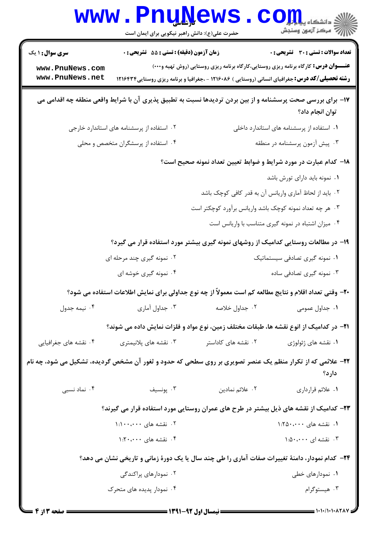|                        | <b>www.PnuNews</b><br>حضرت علی(ع): دانش راهبر نیکویی برای ایمان است   |                                                                                                            | الاد دانشکاه پیابازیا<br>ارگ مرکز آزمون وسنجش                                                            |
|------------------------|-----------------------------------------------------------------------|------------------------------------------------------------------------------------------------------------|----------------------------------------------------------------------------------------------------------|
| <b>سری سوال : ۱ یک</b> | زمان آزمون (دقیقه) : تستی : 55 تشریحی : 0                             |                                                                                                            | <b>تعداد سوالات : تستی : 30 ٪ تشریحی : 0</b>                                                             |
| www.PnuNews.com        |                                                                       | <b>عنـــوان درس:</b> کارگاه برنامه ریزی روستایی،کارگاه برنامه ریزی روستایی (روش تهیه و۰۰۰)                 |                                                                                                          |
| www.PnuNews.net        |                                                                       | <b>رشته تحصیلی/کد درس:</b> جغرافیای انسانی (روستایی ) ۱۲۱۶۰۸۶ - ،جغرافیا و برنامه ریزی روستایی1۲۱۶۴۳۴      |                                                                                                          |
|                        |                                                                       | ۱۷- برای بررسی صحت پرسشنامه و از بین بردن تردیدها نسبت به تطبیق پذیری آن با شرایط واقعی منطقه چه اقدامی می | توان انجام داد؟                                                                                          |
|                        | ۰۲ استفاده از پرسشنامه های استاندارد خارجی                            |                                                                                                            | ۰۱ استفاده از پرسشنامه های استاندارد داخلی                                                               |
|                        | ۰۴ استفاده از پرسشگران متخصص و محلی<br>۰۳ پیش آزمون پرسشنامه در منطقه |                                                                                                            |                                                                                                          |
|                        |                                                                       | ۱۸– کدام عبارت در مورد شرایط و ضوابط تعیین تعداد نمونه صحیح است؟                                           |                                                                                                          |
|                        |                                                                       |                                                                                                            | ۰۱ نمونه باید دارای تورش باشد                                                                            |
|                        |                                                                       |                                                                                                            | ۰۲ باید از لحاظ آماری واریانس آن به قدر کافی کوچک باشد                                                   |
|                        |                                                                       | ۰۳ هر چه تعداد نمونه کوچک باشد واریانس برآورد کوچکتر است                                                   |                                                                                                          |
|                        |                                                                       |                                                                                                            | ۰۴ میزان اشتباه در نمونه گیری متناسب با واریانس است                                                      |
|                        |                                                                       | ۱۹- در مطالعات روستایی کدامیک از روشهای نمونه گیری بیشتر مورد استفاده قرار می گیرد؟                        |                                                                                                          |
|                        | ۰۲ نمونه گیری چند مرحله ای                                            |                                                                                                            | ۰۱ نمونه گیری تصادفی سیستماتیک                                                                           |
|                        | ۰۴ نمونه گیری خوشه ای                                                 |                                                                                                            | ۰۳ نمونه گیری تصادفی ساده                                                                                |
|                        |                                                                       | ۲۰- وقتی تعداد اقلام و نتایج مطالعه کم است معمولاً از چه نوع جداولی برای نمایش اطلاعات استفاده می شود؟     |                                                                                                          |
| ۰۴ نیمه جدول           | ۰۳ جداول آماری                                                        | ۰۲ جداول خلاصه                                                                                             | ۰۱ جداول عمومی                                                                                           |
|                        |                                                                       | ۲۱− در کدامیک از انوع نقشه ها، طبقات مختلف زمین، نوع مواد و فلزات نمایش داده می شوند؟                      |                                                                                                          |
| ۰۴ نقشه های جغرافیایی  | ۰۳ نقشه های پلانیمتری                                                 | ۰۲ نقشه های کاداستر                                                                                        | ۰۱ نقشه های ژئولوژی                                                                                      |
|                        |                                                                       | ۲۲- علائمی که از تکرار منظم یک عنصر تصویری بر روی سطحی که حدود و ثغور آن مشخص گردیده، تشکیل می شود، چه نام | دارد؟                                                                                                    |
| ۰۴ نماد نسبی           | ۰۳ پونسیف                                                             | ۰۲ علائم نمادين                                                                                            | ٠١ علائم قرارداري                                                                                        |
|                        |                                                                       | ۲۳– کدامیک از نقشه های ذیل بیشتر در طرح های عمران روستایی مورد استفاده قرار می گیرند؟                      |                                                                                                          |
|                        | ۰۲ نقشه های ۱:۱۰۰،۰۰۰                                                 |                                                                                                            | ۰۱ نقشه های ۱:۲۵۰،۰۰۰                                                                                    |
|                        | ۰۴ نقشه های ۱:۲۰،۰۰۰                                                  |                                                                                                            | ۰۳ نقشه ای ۵۰،۰۰۰ :                                                                                      |
|                        |                                                                       |                                                                                                            | <b>۲۴</b> - کدام نمودار، دامنهٔ تغییرات صفات آماری را طی چند سال یا یک دورهٔ زمانی و تاریخی نشان می دهد؟ |
|                        | ۰۲ نمودارهای پراکندگی                                                 |                                                                                                            | ۰۱ نمودارهای خطی                                                                                         |
|                        | ۰۴ نمودار پدیده های متحرک                                             |                                                                                                            | ۰۳ هيستوگرام                                                                                             |
|                        |                                                                       |                                                                                                            |                                                                                                          |